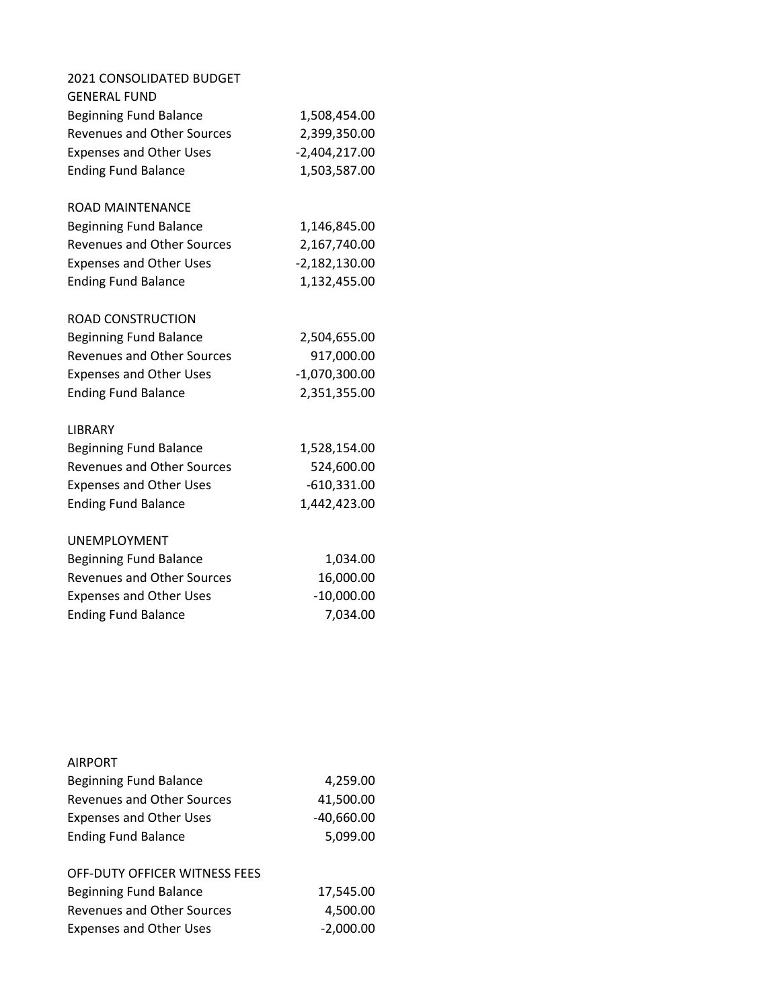| 2021 CONSOLIDATED BUDGET          |                 |
|-----------------------------------|-----------------|
| <b>GENERAL FUND</b>               |                 |
| <b>Beginning Fund Balance</b>     | 1,508,454.00    |
| <b>Revenues and Other Sources</b> | 2,399,350.00    |
| <b>Expenses and Other Uses</b>    | $-2,404,217.00$ |
| <b>Ending Fund Balance</b>        | 1,503,587.00    |
| <b>ROAD MAINTENANCE</b>           |                 |
| <b>Beginning Fund Balance</b>     | 1,146,845.00    |
| <b>Revenues and Other Sources</b> | 2,167,740.00    |
| <b>Expenses and Other Uses</b>    | $-2,182,130.00$ |
| <b>Ending Fund Balance</b>        | 1,132,455.00    |
| <b>ROAD CONSTRUCTION</b>          |                 |
| <b>Beginning Fund Balance</b>     | 2,504,655.00    |
| <b>Revenues and Other Sources</b> | 917,000.00      |
| <b>Expenses and Other Uses</b>    | $-1,070,300.00$ |
| <b>Ending Fund Balance</b>        | 2,351,355.00    |
| LIBRARY                           |                 |
| <b>Beginning Fund Balance</b>     | 1,528,154.00    |
| <b>Revenues and Other Sources</b> | 524,600.00      |
| <b>Expenses and Other Uses</b>    | $-610,331.00$   |
| <b>Ending Fund Balance</b>        | 1,442,423.00    |
| <b>UNEMPLOYMENT</b>               |                 |
| <b>Beginning Fund Balance</b>     | 1,034.00        |
| <b>Revenues and Other Sources</b> | 16,000.00       |
| <b>Expenses and Other Uses</b>    | $-10,000.00$    |
| <b>Ending Fund Balance</b>        | 7,034.00        |
|                                   |                 |

| <b>AIRPORT</b>                       |              |
|--------------------------------------|--------------|
| <b>Beginning Fund Balance</b>        | 4,259.00     |
| <b>Revenues and Other Sources</b>    | 41,500.00    |
| <b>Expenses and Other Uses</b>       | $-40,660.00$ |
| <b>Ending Fund Balance</b>           | 5,099.00     |
|                                      |              |
| <b>OFF-DUTY OFFICER WITNESS FEES</b> |              |
| <b>Beginning Fund Balance</b>        | 17,545.00    |
| Revenues and Other Sources           | 4,500.00     |
| <b>Expenses and Other Uses</b>       | -2.000.00    |
|                                      |              |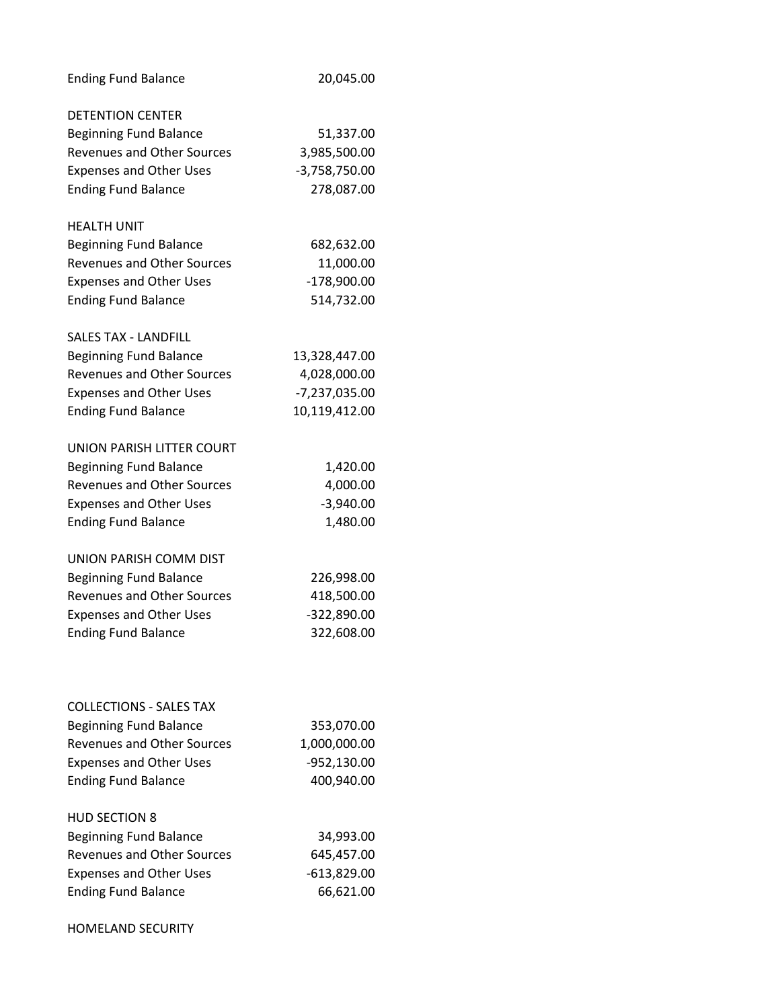| <b>Ending Fund Balance</b>        | 20,045.00       |
|-----------------------------------|-----------------|
| <b>DETENTION CENTER</b>           |                 |
| <b>Beginning Fund Balance</b>     | 51,337.00       |
| <b>Revenues and Other Sources</b> | 3,985,500.00    |
| <b>Expenses and Other Uses</b>    | $-3,758,750.00$ |
| <b>Ending Fund Balance</b>        | 278,087.00      |
|                                   |                 |
| <b>HEALTH UNIT</b>                |                 |
| <b>Beginning Fund Balance</b>     | 682,632.00      |
| <b>Revenues and Other Sources</b> | 11,000.00       |
| <b>Expenses and Other Uses</b>    | $-178,900.00$   |
| <b>Ending Fund Balance</b>        | 514,732.00      |
| <b>SALES TAX - LANDFILL</b>       |                 |
| <b>Beginning Fund Balance</b>     | 13,328,447.00   |
| <b>Revenues and Other Sources</b> | 4,028,000.00    |
| <b>Expenses and Other Uses</b>    | -7,237,035.00   |
| <b>Ending Fund Balance</b>        | 10,119,412.00   |
|                                   |                 |
| UNION PARISH LITTER COURT         |                 |
| <b>Beginning Fund Balance</b>     | 1,420.00        |
| <b>Revenues and Other Sources</b> | 4,000.00        |
| <b>Expenses and Other Uses</b>    | $-3,940.00$     |
| <b>Ending Fund Balance</b>        | 1,480.00        |
| UNION PARISH COMM DIST            |                 |
| <b>Beginning Fund Balance</b>     | 226,998.00      |
| <b>Revenues and Other Sources</b> | 418,500.00      |
| <b>Expenses and Other Uses</b>    | -322,890.00     |
| <b>Ending Fund Balance</b>        | 322,608.00      |
|                                   |                 |
| <b>COLLECTIONS - SALES TAX</b>    |                 |
| <b>Beginning Fund Balance</b>     | 353,070.00      |
| <b>Revenues and Other Sources</b> | 1,000,000.00    |
| <b>Expenses and Other Uses</b>    | -952,130.00     |
| <b>Ending Fund Balance</b>        | 400,940.00      |
|                                   |                 |
| <b>HUD SECTION 8</b>              |                 |
| <b>Beginning Fund Balance</b>     | 34,993.00       |
| <b>Revenues and Other Sources</b> | 645,457.00      |
| <b>Expenses and Other Uses</b>    | $-613,829.00$   |
| <b>Ending Fund Balance</b>        | 66,621.00       |
| <b>HOMELAND SECURITY</b>          |                 |